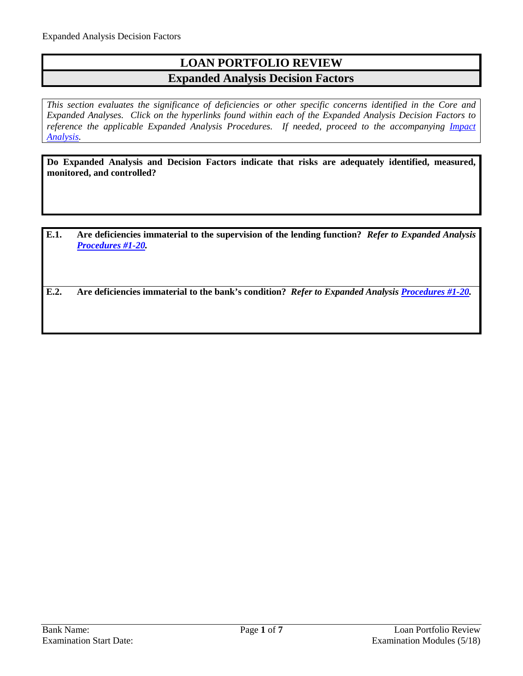# **LOAN PORTFOLIO REVIEW Expanded Analysis Decision Factors**

*This section evaluates the significance of deficiencies or other specific concerns identified in the Core and Expanded Analyses. Click on the hyperlinks found within each of the Expanded Analysis Decision Factors to*  reference the applicable Expanded Analysis Procedures. If needed, proceed to the accompanying *Impact [Analysis.](#page-6-0)*

**Do Expanded Analysis and Decision Factors indicate that risks are adequately identified, measured, monitored, and controlled?**

**E.1. Are deficiencies immaterial to the supervision of the lending function?** *Refer to Expanded Analysis [Procedures #1-20.](#page-1-0)*

**E.2. Are deficiencies immaterial to the bank's condition?** *Refer to Expanded Analysi[s Procedures #1-20.](#page-1-0)*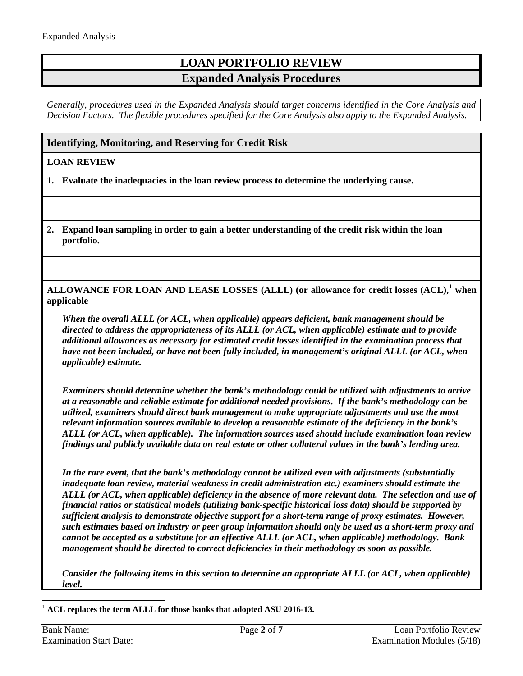# **LOAN PORTFOLIO REVIEW Expanded Analysis Procedures**

*Generally, procedures used in the Expanded Analysis should target concerns identified in the Core Analysis and Decision Factors. The flexible procedures specified for the Core Analysis also apply to the Expanded Analysis.*

### <span id="page-1-0"></span>**Identifying, Monitoring, and Reserving for Credit Risk**

### **LOAN REVIEW**

**1. Evaluate the inadequacies in the loan review process to determine the underlying cause.**

**2. Expand loan sampling in order to gain a better understanding of the credit risk within the loan portfolio.**

**ALLOWANCE FOR LOAN AND LEASE LOSSES (ALLL) (or allowance for credit losses (ACL),[1](#page-1-1) when applicable**

*When the overall ALLL (or ACL, when applicable) appears deficient, bank management should be directed to address the appropriateness of its ALLL (or ACL, when applicable) estimate and to provide additional allowances as necessary for estimated credit losses identified in the examination process that have not been included, or have not been fully included, in management's original ALLL (or ACL, when applicable) estimate.*

*Examiners should determine whether the bank's methodology could be utilized with adjustments to arrive at a reasonable and reliable estimate for additional needed provisions. If the bank's methodology can be utilized, examiners should direct bank management to make appropriate adjustments and use the most relevant information sources available to develop a reasonable estimate of the deficiency in the bank's ALLL (or ACL, when applicable). The information sources used should include examination loan review findings and publicly available data on real estate or other collateral values in the bank's lending area.*

*In the rare event, that the bank's methodology cannot be utilized even with adjustments (substantially inadequate loan review, material weakness in credit administration etc.) examiners should estimate the ALLL (or ACL, when applicable) deficiency in the absence of more relevant data. The selection and use of financial ratios or statistical models (utilizing bank-specific historical loss data) should be supported by sufficient analysis to demonstrate objective support for a short-term range of proxy estimates. However, such estimates based on industry or peer group information should only be used as a short-term proxy and cannot be accepted as a substitute for an effective ALLL (or ACL, when applicable) methodology. Bank management should be directed to correct deficiencies in their methodology as soon as possible.*

*Consider the following items in this section to determine an appropriate ALLL (or ACL, when applicable) level.*

<span id="page-1-1"></span>1 **ACL replaces the term ALLL for those banks that adopted ASU 2016-13.**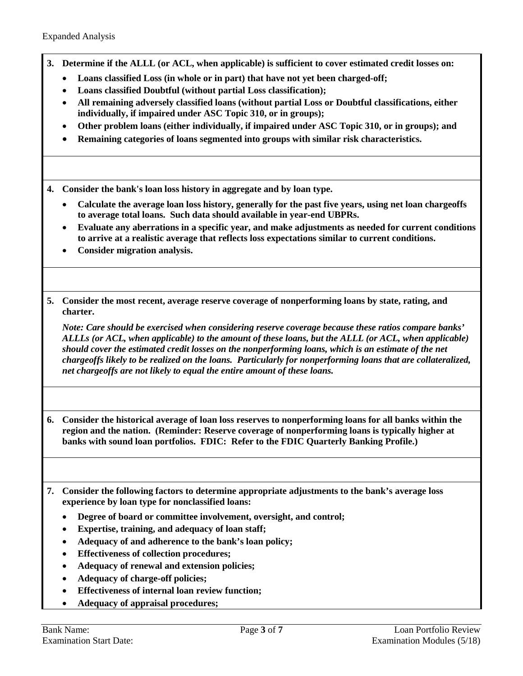- **3. Determine if the ALLL (or ACL, when applicable) is sufficient to cover estimated credit losses on:**
	- **Loans classified Loss (in whole or in part) that have not yet been charged-off;**
	- **Loans classified Doubtful (without partial Loss classification);**
	- **All remaining adversely classified loans (without partial Loss or Doubtful classifications, either individually, if impaired under ASC Topic 310, or in groups);**
	- **Other problem loans (either individually, if impaired under ASC Topic 310, or in groups); and**
	- **Remaining categories of loans segmented into groups with similar risk characteristics.**

**4. Consider the bank's loan loss history in aggregate and by loan type.**

- **Calculate the average loan loss history, generally for the past five years, using net loan chargeoffs to average total loans. Such data should available in year-end UBPRs.**
- **Evaluate any aberrations in a specific year, and make adjustments as needed for current conditions to arrive at a realistic average that reflects loss expectations similar to current conditions.**
- **Consider migration analysis.**
- **5. Consider the most recent, average reserve coverage of nonperforming loans by state, rating, and charter.**

*Note: Care should be exercised when considering reserve coverage because these ratios compare banks' ALLLs (or ACL, when applicable) to the amount of these loans, but the ALLL (or ACL, when applicable) should cover the estimated credit losses on the nonperforming loans, which is an estimate of the net chargeoffs likely to be realized on the loans. Particularly for nonperforming loans that are collateralized, net chargeoffs are not likely to equal the entire amount of these loans.*

**6. Consider the historical average of loan loss reserves to nonperforming loans for all banks within the region and the nation. (Reminder: Reserve coverage of nonperforming loans is typically higher at banks with sound loan portfolios. FDIC: Refer to the FDIC Quarterly Banking Profile.)** 

- **7. Consider the following factors to determine appropriate adjustments to the bank's average loss experience by loan type for nonclassified loans:** 
	- **Degree of board or committee involvement, oversight, and control;**
	- **Expertise, training, and adequacy of loan staff;**
	- **Adequacy of and adherence to the bank's loan policy;**
	- **Effectiveness of collection procedures;**
	- **Adequacy of renewal and extension policies;**
	- **Adequacy of charge-off policies;**
	- **Effectiveness of internal loan review function;**
	- **Adequacy of appraisal procedures;**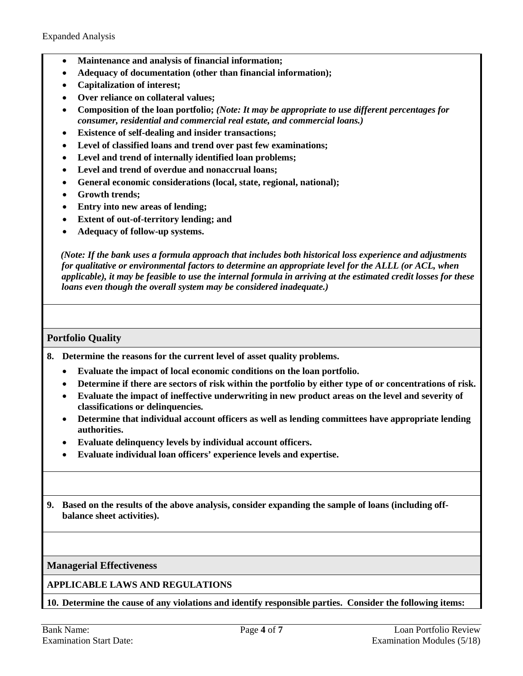- **Maintenance and analysis of financial information;**
- **Adequacy of documentation (other than financial information);**
- **Capitalization of interest;**
- **Over reliance on collateral values;**
- **Composition of the loan portfolio;** *(Note: It may be appropriate to use different percentages for consumer, residential and commercial real estate, and commercial loans.)*
- **Existence of self-dealing and insider transactions;**
- **Level of classified loans and trend over past few examinations;**
- **Level and trend of internally identified loan problems;**
- **Level and trend of overdue and nonaccrual loans;**
- **General economic considerations (local, state, regional, national);**
- **Growth trends;**
- **Entry into new areas of lending;**
- **Extent of out-of-territory lending; and**
- **Adequacy of follow-up systems.**

*(Note: If the bank uses a formula approach that includes both historical loss experience and adjustments for qualitative or environmental factors to determine an appropriate level for the ALLL (or ACL, when applicable), it may be feasible to use the internal formula in arriving at the estimated credit losses for these loans even though the overall system may be considered inadequate.)*

### **Portfolio Quality**

- **8. Determine the reasons for the current level of asset quality problems.**
	- **Evaluate the impact of local economic conditions on the loan portfolio.**
	- **Determine if there are sectors of risk within the portfolio by either type of or concentrations of risk.**
	- **Evaluate the impact of ineffective underwriting in new product areas on the level and severity of classifications or delinquencies.**
	- **Determine that individual account officers as well as lending committees have appropriate lending authorities.**
	- **Evaluate delinquency levels by individual account officers.**
	- **Evaluate individual loan officers' experience levels and expertise.**
- **9. Based on the results of the above analysis, consider expanding the sample of loans (including offbalance sheet activities).**

**Managerial Effectiveness**

**APPLICABLE LAWS AND REGULATIONS**

**10. Determine the cause of any violations and identify responsible parties. Consider the following items:**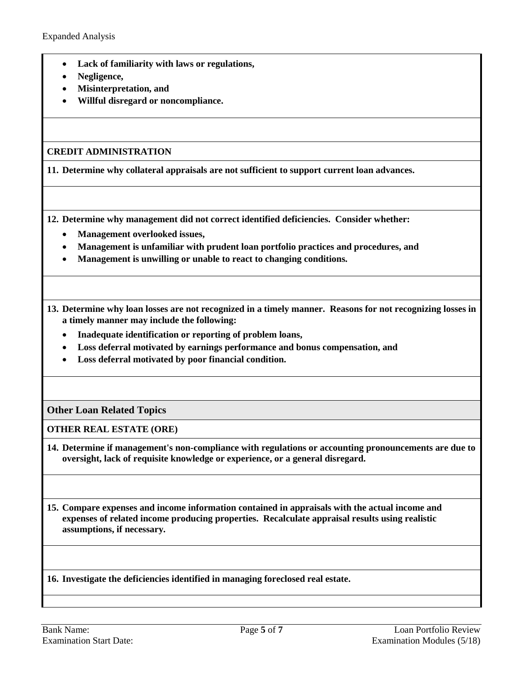- **Lack of familiarity with laws or regulations,**
- **Negligence,**
- **Misinterpretation, and**
- **Willful disregard or noncompliance.**

#### **CREDIT ADMINISTRATION**

**11. Determine why collateral appraisals are not sufficient to support current loan advances.**

**12. Determine why management did not correct identified deficiencies. Consider whether:**

- **Management overlooked issues,**
- **Management is unfamiliar with prudent loan portfolio practices and procedures, and**
- **Management is unwilling or unable to react to changing conditions.**

**13. Determine why loan losses are not recognized in a timely manner. Reasons for not recognizing losses in a timely manner may include the following:**

- **Inadequate identification or reporting of problem loans,**
- **Loss deferral motivated by earnings performance and bonus compensation, and**
- **Loss deferral motivated by poor financial condition.**

**Other Loan Related Topics**

#### **OTHER REAL ESTATE (ORE)**

**14. Determine if management's non-compliance with regulations or accounting pronouncements are due to oversight, lack of requisite knowledge or experience, or a general disregard.**

**15. Compare expenses and income information contained in appraisals with the actual income and expenses of related income producing properties. Recalculate appraisal results using realistic assumptions, if necessary.**

**16. Investigate the deficiencies identified in managing foreclosed real estate.**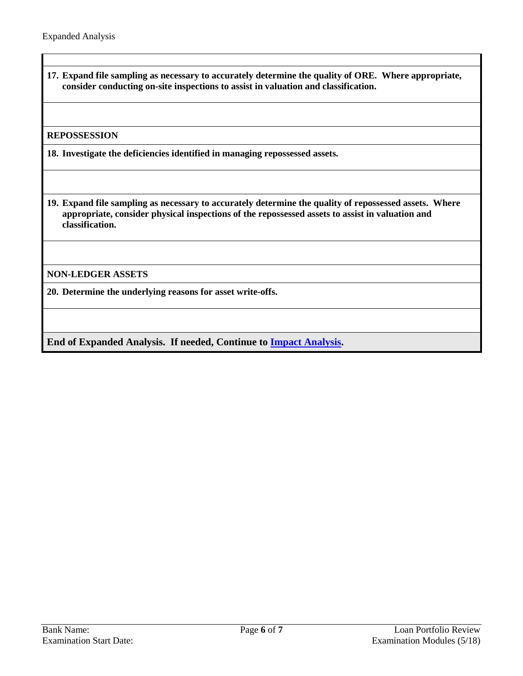**17. Expand file sampling as necessary to accurately determine the quality of ORE. Where appropriate, consider conducting on-site inspections to assist in valuation and classification.**

#### **REPOSSESSION**

**18. Investigate the deficiencies identified in managing repossessed assets.**

**19. Expand file sampling as necessary to accurately determine the quality of repossessed assets. Where appropriate, consider physical inspections of the repossessed assets to assist in valuation and classification.**

**NON-LEDGER ASSETS**

**20. Determine the underlying reasons for asset write-offs.**

**End of Expanded Analysis. If needed, Continue to [Impact Analysis.](#page-6-0)**